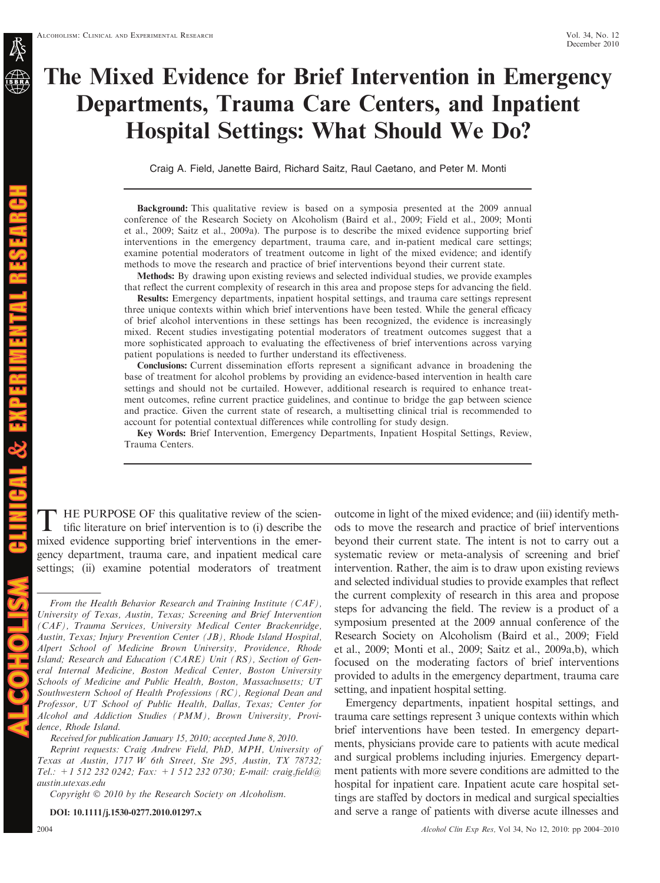# The Mixed Evidence for Brief Intervention in Emergency Departments, Trauma Care Centers, and Inpatient Hospital Settings: What Should We Do?

Craig A. Field, Janette Baird, Richard Saitz, Raul Caetano, and Peter M. Monti

Background: This qualitative review is based on a symposia presented at the 2009 annual conference of the Research Society on Alcoholism (Baird et al., 2009; Field et al., 2009; Monti et al., 2009; Saitz et al., 2009a). The purpose is to describe the mixed evidence supporting brief interventions in the emergency department, trauma care, and in-patient medical care settings; examine potential moderators of treatment outcome in light of the mixed evidence; and identify methods to move the research and practice of brief interventions beyond their current state.

Methods: By drawing upon existing reviews and selected individual studies, we provide examples that reflect the current complexity of research in this area and propose steps for advancing the field.

Results: Emergency departments, inpatient hospital settings, and trauma care settings represent three unique contexts within which brief interventions have been tested. While the general efficacy of brief alcohol interventions in these settings has been recognized, the evidence is increasingly mixed. Recent studies investigating potential moderators of treatment outcomes suggest that a more sophisticated approach to evaluating the effectiveness of brief interventions across varying patient populations is needed to further understand its effectiveness.

Conclusions: Current dissemination efforts represent a significant advance in broadening the base of treatment for alcohol problems by providing an evidence-based intervention in health care settings and should not be curtailed. However, additional research is required to enhance treatment outcomes, refine current practice guidelines, and continue to bridge the gap between science and practice. Given the current state of research, a multisetting clinical trial is recommended to account for potential contextual differences while controlling for study design.

Key Words: Brief Intervention, Emergency Departments, Inpatient Hospital Settings, Review, Trauma Centers.

T HE PURPOSE OF this qualitative review of the scientific literature on brief intervention is to (i) describe the mixed evidence supporting brief interventions in the emergency department, trauma care, and inpatient medical care settings; (ii) examine potential moderators of treatment

From the Health Behavior Research and Training Institute (CAF), University of Texas, Austin, Texas; Screening and Brief Intervention (CAF), Trauma Services, University Medical Center Brackenridge, Austin, Texas; Injury Prevention Center (JB), Rhode Island Hospital, Alpert School of Medicine Brown University, Providence, Rhode Island; Research and Education (CARE) Unit (RS), Section of General Internal Medicine, Boston Medical Center, Boston University Schools of Medicine and Public Health, Boston, Massachusetts; UT Southwestern School of Health Professions (RC), Regional Dean and Professor, UT School of Public Health, Dallas, Texas; Center for Alcohol and Addiction Studies (PMM), Brown University, Providence, Rhode Island.

Received for publication January 15, 2010; accepted June 8, 2010.

Reprint requests: Craig Andrew Field, PhD, MPH, University of Texas at Austin, 1717 W 6th Street, Ste 295, Austin, TX 78732; Tel.:  $+1$  512 232 0242; Fax:  $+1$  512 232 0730; E-mail: craig.field@ austin.utexas.edu

Copyright  $\odot$  2010 by the Research Society on Alcoholism.

DOI: 10.1111/j.1530-0277.2010.01297.x

outcome in light of the mixed evidence; and (iii) identify methods to move the research and practice of brief interventions beyond their current state. The intent is not to carry out a systematic review or meta-analysis of screening and brief intervention. Rather, the aim is to draw upon existing reviews and selected individual studies to provide examples that reflect the current complexity of research in this area and propose steps for advancing the field. The review is a product of a symposium presented at the 2009 annual conference of the Research Society on Alcoholism (Baird et al., 2009; Field et al., 2009; Monti et al., 2009; Saitz et al., 2009a,b), which focused on the moderating factors of brief interventions provided to adults in the emergency department, trauma care setting, and inpatient hospital setting.

Emergency departments, inpatient hospital settings, and trauma care settings represent 3 unique contexts within which brief interventions have been tested. In emergency departments, physicians provide care to patients with acute medical and surgical problems including injuries. Emergency department patients with more severe conditions are admitted to the hospital for inpatient care. Inpatient acute care hospital settings are staffed by doctors in medical and surgical specialties and serve a range of patients with diverse acute illnesses and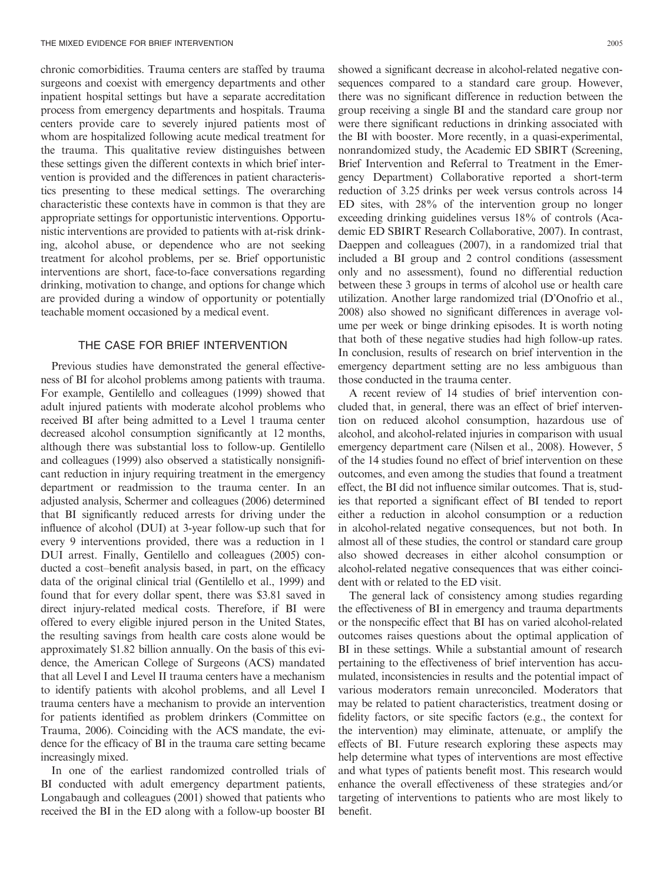chronic comorbidities. Trauma centers are staffed by trauma surgeons and coexist with emergency departments and other inpatient hospital settings but have a separate accreditation process from emergency departments and hospitals. Trauma centers provide care to severely injured patients most of whom are hospitalized following acute medical treatment for the trauma. This qualitative review distinguishes between these settings given the different contexts in which brief intervention is provided and the differences in patient characteristics presenting to these medical settings. The overarching characteristic these contexts have in common is that they are appropriate settings for opportunistic interventions. Opportunistic interventions are provided to patients with at-risk drinking, alcohol abuse, or dependence who are not seeking treatment for alcohol problems, per se. Brief opportunistic interventions are short, face-to-face conversations regarding drinking, motivation to change, and options for change which are provided during a window of opportunity or potentially teachable moment occasioned by a medical event.

# THE CASE FOR BRIEF INTERVENTION

Previous studies have demonstrated the general effectiveness of BI for alcohol problems among patients with trauma. For example, Gentilello and colleagues (1999) showed that adult injured patients with moderate alcohol problems who received BI after being admitted to a Level 1 trauma center decreased alcohol consumption significantly at 12 months, although there was substantial loss to follow-up. Gentilello and colleagues (1999) also observed a statistically nonsignificant reduction in injury requiring treatment in the emergency department or readmission to the trauma center. In an adjusted analysis, Schermer and colleagues (2006) determined that BI significantly reduced arrests for driving under the influence of alcohol (DUI) at 3-year follow-up such that for every 9 interventions provided, there was a reduction in 1 DUI arrest. Finally, Gentilello and colleagues (2005) conducted a cost–benefit analysis based, in part, on the efficacy data of the original clinical trial (Gentilello et al., 1999) and found that for every dollar spent, there was \$3.81 saved in direct injury-related medical costs. Therefore, if BI were offered to every eligible injured person in the United States, the resulting savings from health care costs alone would be approximately \$1.82 billion annually. On the basis of this evidence, the American College of Surgeons (ACS) mandated that all Level I and Level II trauma centers have a mechanism to identify patients with alcohol problems, and all Level I trauma centers have a mechanism to provide an intervention for patients identified as problem drinkers (Committee on Trauma, 2006). Coinciding with the ACS mandate, the evidence for the efficacy of BI in the trauma care setting became increasingly mixed.

In one of the earliest randomized controlled trials of BI conducted with adult emergency department patients, Longabaugh and colleagues (2001) showed that patients who received the BI in the ED along with a follow-up booster BI

showed a significant decrease in alcohol-related negative consequences compared to a standard care group. However, there was no significant difference in reduction between the group receiving a single BI and the standard care group nor were there significant reductions in drinking associated with the BI with booster. More recently, in a quasi-experimental, nonrandomized study, the Academic ED SBIRT (Screening, Brief Intervention and Referral to Treatment in the Emergency Department) Collaborative reported a short-term reduction of 3.25 drinks per week versus controls across 14 ED sites, with 28% of the intervention group no longer exceeding drinking guidelines versus 18% of controls (Academic ED SBIRT Research Collaborative, 2007). In contrast, Daeppen and colleagues (2007), in a randomized trial that included a BI group and 2 control conditions (assessment only and no assessment), found no differential reduction between these 3 groups in terms of alcohol use or health care utilization. Another large randomized trial (D'Onofrio et al., 2008) also showed no significant differences in average volume per week or binge drinking episodes. It is worth noting that both of these negative studies had high follow-up rates. In conclusion, results of research on brief intervention in the emergency department setting are no less ambiguous than those conducted in the trauma center.

A recent review of 14 studies of brief intervention concluded that, in general, there was an effect of brief intervention on reduced alcohol consumption, hazardous use of alcohol, and alcohol-related injuries in comparison with usual emergency department care (Nilsen et al., 2008). However, 5 of the 14 studies found no effect of brief intervention on these outcomes, and even among the studies that found a treatment effect, the BI did not influence similar outcomes. That is, studies that reported a significant effect of BI tended to report either a reduction in alcohol consumption or a reduction in alcohol-related negative consequences, but not both. In almost all of these studies, the control or standard care group also showed decreases in either alcohol consumption or alcohol-related negative consequences that was either coincident with or related to the ED visit.

The general lack of consistency among studies regarding the effectiveness of BI in emergency and trauma departments or the nonspecific effect that BI has on varied alcohol-related outcomes raises questions about the optimal application of BI in these settings. While a substantial amount of research pertaining to the effectiveness of brief intervention has accumulated, inconsistencies in results and the potential impact of various moderators remain unreconciled. Moderators that may be related to patient characteristics, treatment dosing or fidelity factors, or site specific factors (e.g., the context for the intervention) may eliminate, attenuate, or amplify the effects of BI. Future research exploring these aspects may help determine what types of interventions are most effective and what types of patients benefit most. This research would enhance the overall effectiveness of these strategies and⁄or targeting of interventions to patients who are most likely to benefit.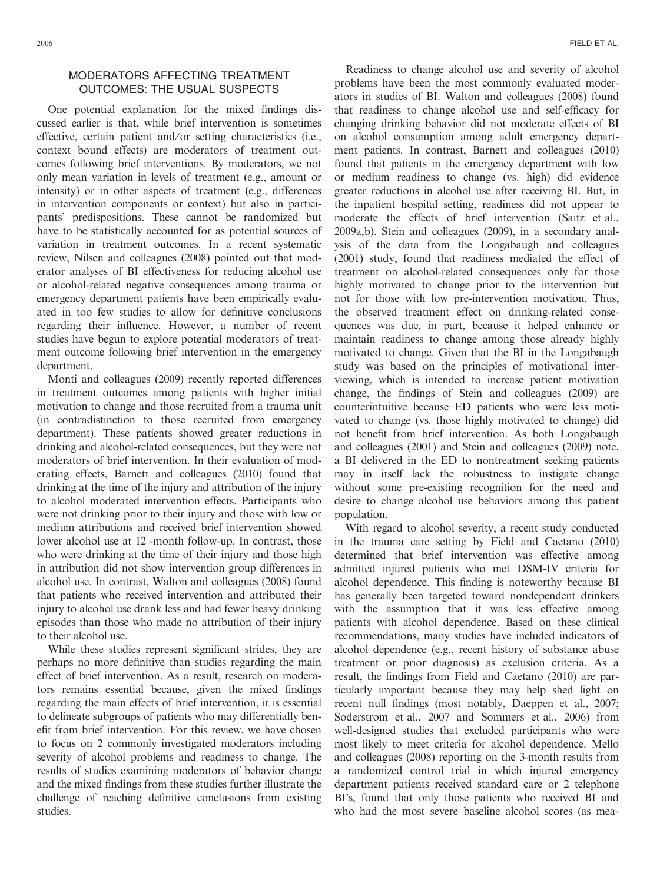## MODERATORS AFFECTING TREATMENT OUTCOMES: THE USUAL SUSPECTS

One potential explanation for the mixed findings discussed earlier is that, while brief intervention is sometimes effective, certain patient and⁄or setting characteristics (i.e., context bound effects) are moderators of treatment outcomes following brief interventions. By moderators, we not only mean variation in levels of treatment (e.g., amount or intensity) or in other aspects of treatment (e.g., differences in intervention components or context) but also in participants' predispositions. These cannot be randomized but have to be statistically accounted for as potential sources of variation in treatment outcomes. In a recent systematic review, Nilsen and colleagues (2008) pointed out that moderator analyses of BI effectiveness for reducing alcohol use or alcohol-related negative consequences among trauma or emergency department patients have been empirically evaluated in too few studies to allow for definitive conclusions regarding their influence. However, a number of recent studies have begun to explore potential moderators of treatment outcome following brief intervention in the emergency department.

Monti and colleagues (2009) recently reported differences in treatment outcomes among patients with higher initial motivation to change and those recruited from a trauma unit (in contradistinction to those recruited from emergency department). These patients showed greater reductions in drinking and alcohol-related consequences, but they were not moderators of brief intervention. In their evaluation of moderating effects, Barnett and colleagues (2010) found that drinking at the time of the injury and attribution of the injury to alcohol moderated intervention effects. Participants who were not drinking prior to their injury and those with low or medium attributions and received brief intervention showed lower alcohol use at 12 -month follow-up. In contrast, those who were drinking at the time of their injury and those high in attribution did not show intervention group differences in alcohol use. In contrast, Walton and colleagues (2008) found that patients who received intervention and attributed their injury to alcohol use drank less and had fewer heavy drinking episodes than those who made no attribution of their injury to their alcohol use.

While these studies represent significant strides, they are perhaps no more definitive than studies regarding the main effect of brief intervention. As a result, research on moderators remains essential because, given the mixed findings regarding the main effects of brief intervention, it is essential to delineate subgroups of patients who may differentially benefit from brief intervention. For this review, we have chosen to focus on 2 commonly investigated moderators including severity of alcohol problems and readiness to change. The results of studies examining moderators of behavior change and the mixed findings from these studies further illustrate the challenge of reaching definitive conclusions from existing studies.

Readiness to change alcohol use and severity of alcohol problems have been the most commonly evaluated moderators in studies of BI. Walton and colleagues (2008) found that readiness to change alcohol use and self-efficacy for changing drinking behavior did not moderate effects of BI on alcohol consumption among adult emergency department patients. In contrast, Barnett and colleagues (2010) found that patients in the emergency department with low or medium readiness to change (vs. high) did evidence greater reductions in alcohol use after receiving BI. But, in the inpatient hospital setting, readiness did not appear to moderate the effects of brief intervention (Saitz et al., 2009a,b). Stein and colleagues (2009), in a secondary analysis of the data from the Longabaugh and colleagues (2001) study, found that readiness mediated the effect of treatment on alcohol-related consequences only for those highly motivated to change prior to the intervention but not for those with low pre-intervention motivation. Thus, the observed treatment effect on drinking-related consequences was due, in part, because it helped enhance or maintain readiness to change among those already highly motivated to change. Given that the BI in the Longabaugh study was based on the principles of motivational interviewing, which is intended to increase patient motivation change, the findings of Stein and colleagues (2009) are counterintuitive because ED patients who were less motivated to change (vs. those highly motivated to change) did not benefit from brief intervention. As both Longabaugh and colleagues (2001) and Stein and colleagues (2009) note, a BI delivered in the ED to nontreatment seeking patients may in itself lack the robustness to instigate change without some pre-existing recognition for the need and desire to change alcohol use behaviors among this patient population.

With regard to alcohol severity, a recent study conducted in the trauma care setting by Field and Caetano (2010) determined that brief intervention was effective among admitted injured patients who met DSM-IV criteria for alcohol dependence. This finding is noteworthy because BI has generally been targeted toward nondependent drinkers with the assumption that it was less effective among patients with alcohol dependence. Based on these clinical recommendations, many studies have included indicators of alcohol dependence (e.g., recent history of substance abuse treatment or prior diagnosis) as exclusion criteria. As a result, the findings from Field and Caetano (2010) are particularly important because they may help shed light on recent null findings (most notably, Daeppen et al., 2007; Soderstrom et al., 2007 and Sommers et al., 2006) from well-designed studies that excluded participants who were most likely to meet criteria for alcohol dependence. Mello and colleagues (2008) reporting on the 3-month results from a randomized control trial in which injured emergency department patients received standard care or 2 telephone BI's, found that only those patients who received BI and who had the most severe baseline alcohol scores (as mea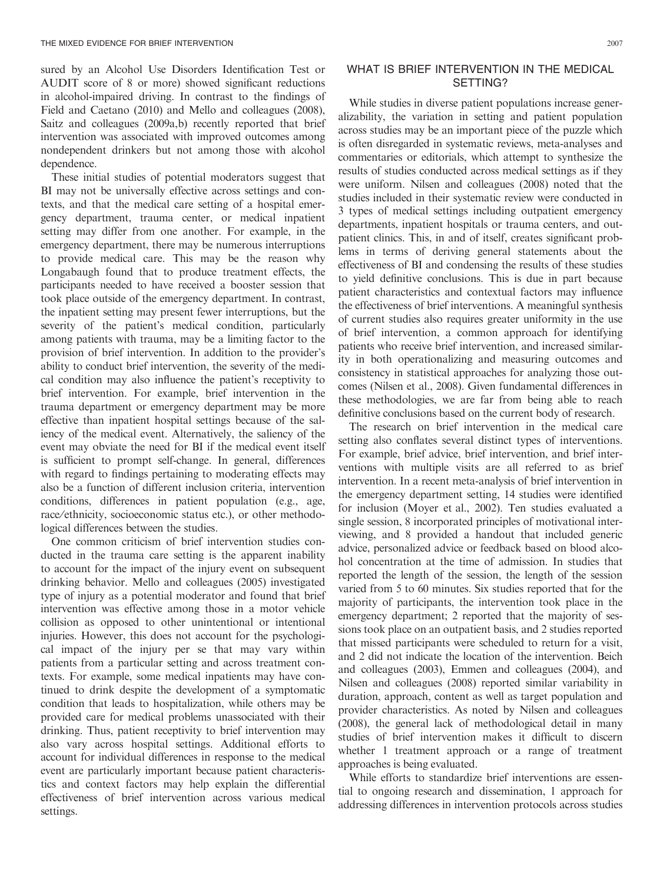sured by an Alcohol Use Disorders Identification Test or AUDIT score of 8 or more) showed significant reductions in alcohol-impaired driving. In contrast to the findings of Field and Caetano (2010) and Mello and colleagues (2008), Saitz and colleagues (2009a,b) recently reported that brief intervention was associated with improved outcomes among nondependent drinkers but not among those with alcohol dependence.

These initial studies of potential moderators suggest that BI may not be universally effective across settings and contexts, and that the medical care setting of a hospital emergency department, trauma center, or medical inpatient setting may differ from one another. For example, in the emergency department, there may be numerous interruptions to provide medical care. This may be the reason why Longabaugh found that to produce treatment effects, the participants needed to have received a booster session that took place outside of the emergency department. In contrast, the inpatient setting may present fewer interruptions, but the severity of the patient's medical condition, particularly among patients with trauma, may be a limiting factor to the provision of brief intervention. In addition to the provider's ability to conduct brief intervention, the severity of the medical condition may also influence the patient's receptivity to brief intervention. For example, brief intervention in the trauma department or emergency department may be more effective than inpatient hospital settings because of the saliency of the medical event. Alternatively, the saliency of the event may obviate the need for BI if the medical event itself is sufficient to prompt self-change. In general, differences with regard to findings pertaining to moderating effects may also be a function of different inclusion criteria, intervention conditions, differences in patient population (e.g., age, race/ethnicity, socioeconomic status etc.), or other methodological differences between the studies.

One common criticism of brief intervention studies conducted in the trauma care setting is the apparent inability to account for the impact of the injury event on subsequent drinking behavior. Mello and colleagues (2005) investigated type of injury as a potential moderator and found that brief intervention was effective among those in a motor vehicle collision as opposed to other unintentional or intentional injuries. However, this does not account for the psychological impact of the injury per se that may vary within patients from a particular setting and across treatment contexts. For example, some medical inpatients may have continued to drink despite the development of a symptomatic condition that leads to hospitalization, while others may be provided care for medical problems unassociated with their drinking. Thus, patient receptivity to brief intervention may also vary across hospital settings. Additional efforts to account for individual differences in response to the medical event are particularly important because patient characteristics and context factors may help explain the differential effectiveness of brief intervention across various medical settings.

#### WHAT IS BRIEF INTERVENTION IN THE MEDICAL SETTING?

While studies in diverse patient populations increase generalizability, the variation in setting and patient population across studies may be an important piece of the puzzle which is often disregarded in systematic reviews, meta-analyses and commentaries or editorials, which attempt to synthesize the results of studies conducted across medical settings as if they were uniform. Nilsen and colleagues (2008) noted that the studies included in their systematic review were conducted in 3 types of medical settings including outpatient emergency departments, inpatient hospitals or trauma centers, and outpatient clinics. This, in and of itself, creates significant problems in terms of deriving general statements about the effectiveness of BI and condensing the results of these studies to yield definitive conclusions. This is due in part because patient characteristics and contextual factors may influence the effectiveness of brief interventions. A meaningful synthesis of current studies also requires greater uniformity in the use of brief intervention, a common approach for identifying patients who receive brief intervention, and increased similarity in both operationalizing and measuring outcomes and consistency in statistical approaches for analyzing those outcomes (Nilsen et al., 2008). Given fundamental differences in these methodologies, we are far from being able to reach definitive conclusions based on the current body of research.

The research on brief intervention in the medical care setting also conflates several distinct types of interventions. For example, brief advice, brief intervention, and brief interventions with multiple visits are all referred to as brief intervention. In a recent meta-analysis of brief intervention in the emergency department setting, 14 studies were identified for inclusion (Moyer et al., 2002). Ten studies evaluated a single session, 8 incorporated principles of motivational interviewing, and 8 provided a handout that included generic advice, personalized advice or feedback based on blood alcohol concentration at the time of admission. In studies that reported the length of the session, the length of the session varied from 5 to 60 minutes. Six studies reported that for the majority of participants, the intervention took place in the emergency department; 2 reported that the majority of sessions took place on an outpatient basis, and 2 studies reported that missed participants were scheduled to return for a visit, and 2 did not indicate the location of the intervention. Beich and colleagues (2003), Emmen and colleagues (2004), and Nilsen and colleagues (2008) reported similar variability in duration, approach, content as well as target population and provider characteristics. As noted by Nilsen and colleagues (2008), the general lack of methodological detail in many studies of brief intervention makes it difficult to discern whether 1 treatment approach or a range of treatment approaches is being evaluated.

While efforts to standardize brief interventions are essential to ongoing research and dissemination, 1 approach for addressing differences in intervention protocols across studies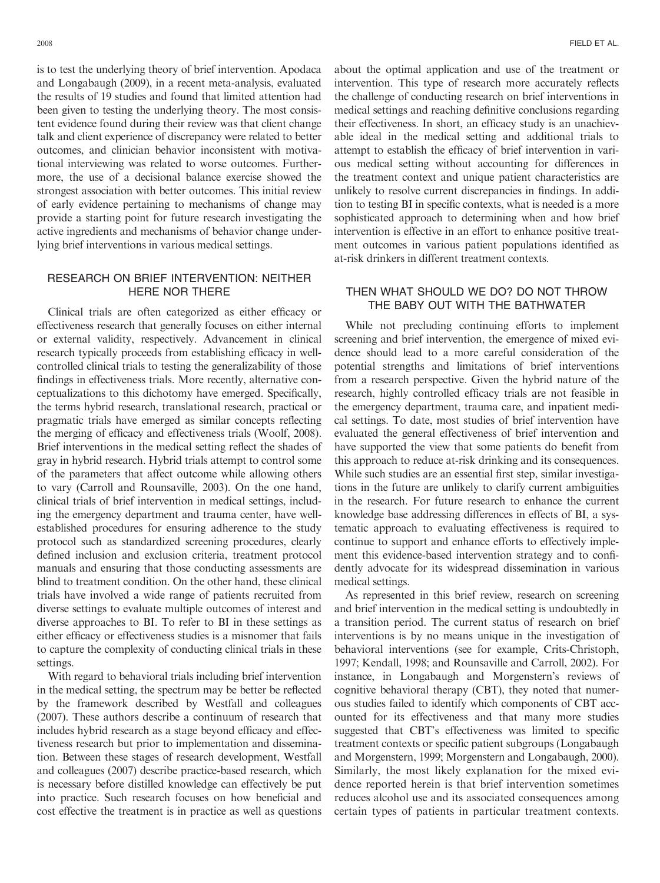is to test the underlying theory of brief intervention. Apodaca and Longabaugh (2009), in a recent meta-analysis, evaluated the results of 19 studies and found that limited attention had been given to testing the underlying theory. The most consistent evidence found during their review was that client change talk and client experience of discrepancy were related to better outcomes, and clinician behavior inconsistent with motivational interviewing was related to worse outcomes. Furthermore, the use of a decisional balance exercise showed the strongest association with better outcomes. This initial review of early evidence pertaining to mechanisms of change may provide a starting point for future research investigating the active ingredients and mechanisms of behavior change underlying brief interventions in various medical settings.

## RESEARCH ON BRIEF INTERVENTION: NEITHER HERE NOR THERE

Clinical trials are often categorized as either efficacy or effectiveness research that generally focuses on either internal or external validity, respectively. Advancement in clinical research typically proceeds from establishing efficacy in wellcontrolled clinical trials to testing the generalizability of those findings in effectiveness trials. More recently, alternative conceptualizations to this dichotomy have emerged. Specifically, the terms hybrid research, translational research, practical or pragmatic trials have emerged as similar concepts reflecting the merging of efficacy and effectiveness trials (Woolf, 2008). Brief interventions in the medical setting reflect the shades of gray in hybrid research. Hybrid trials attempt to control some of the parameters that affect outcome while allowing others to vary (Carroll and Rounsaville, 2003). On the one hand, clinical trials of brief intervention in medical settings, including the emergency department and trauma center, have wellestablished procedures for ensuring adherence to the study protocol such as standardized screening procedures, clearly defined inclusion and exclusion criteria, treatment protocol manuals and ensuring that those conducting assessments are blind to treatment condition. On the other hand, these clinical trials have involved a wide range of patients recruited from diverse settings to evaluate multiple outcomes of interest and diverse approaches to BI. To refer to BI in these settings as either efficacy or effectiveness studies is a misnomer that fails to capture the complexity of conducting clinical trials in these settings.

With regard to behavioral trials including brief intervention in the medical setting, the spectrum may be better be reflected by the framework described by Westfall and colleagues (2007). These authors describe a continuum of research that includes hybrid research as a stage beyond efficacy and effectiveness research but prior to implementation and dissemination. Between these stages of research development, Westfall and colleagues (2007) describe practice-based research, which is necessary before distilled knowledge can effectively be put into practice. Such research focuses on how beneficial and cost effective the treatment is in practice as well as questions

about the optimal application and use of the treatment or intervention. This type of research more accurately reflects the challenge of conducting research on brief interventions in medical settings and reaching definitive conclusions regarding their effectiveness. In short, an efficacy study is an unachievable ideal in the medical setting and additional trials to attempt to establish the efficacy of brief intervention in various medical setting without accounting for differences in the treatment context and unique patient characteristics are unlikely to resolve current discrepancies in findings. In addition to testing BI in specific contexts, what is needed is a more sophisticated approach to determining when and how brief intervention is effective in an effort to enhance positive treatment outcomes in various patient populations identified as at-risk drinkers in different treatment contexts.

#### THEN WHAT SHOULD WE DO? DO NOT THROW THE BABY OUT WITH THE BATHWATER

While not precluding continuing efforts to implement screening and brief intervention, the emergence of mixed evidence should lead to a more careful consideration of the potential strengths and limitations of brief interventions from a research perspective. Given the hybrid nature of the research, highly controlled efficacy trials are not feasible in the emergency department, trauma care, and inpatient medical settings. To date, most studies of brief intervention have evaluated the general effectiveness of brief intervention and have supported the view that some patients do benefit from this approach to reduce at-risk drinking and its consequences. While such studies are an essential first step, similar investigations in the future are unlikely to clarify current ambiguities in the research. For future research to enhance the current knowledge base addressing differences in effects of BI, a systematic approach to evaluating effectiveness is required to continue to support and enhance efforts to effectively implement this evidence-based intervention strategy and to confidently advocate for its widespread dissemination in various medical settings.

As represented in this brief review, research on screening and brief intervention in the medical setting is undoubtedly in a transition period. The current status of research on brief interventions is by no means unique in the investigation of behavioral interventions (see for example, Crits-Christoph, 1997; Kendall, 1998; and Rounsaville and Carroll, 2002). For instance, in Longabaugh and Morgenstern's reviews of cognitive behavioral therapy (CBT), they noted that numerous studies failed to identify which components of CBT accounted for its effectiveness and that many more studies suggested that CBT's effectiveness was limited to specific treatment contexts or specific patient subgroups (Longabaugh and Morgenstern, 1999; Morgenstern and Longabaugh, 2000). Similarly, the most likely explanation for the mixed evidence reported herein is that brief intervention sometimes reduces alcohol use and its associated consequences among certain types of patients in particular treatment contexts.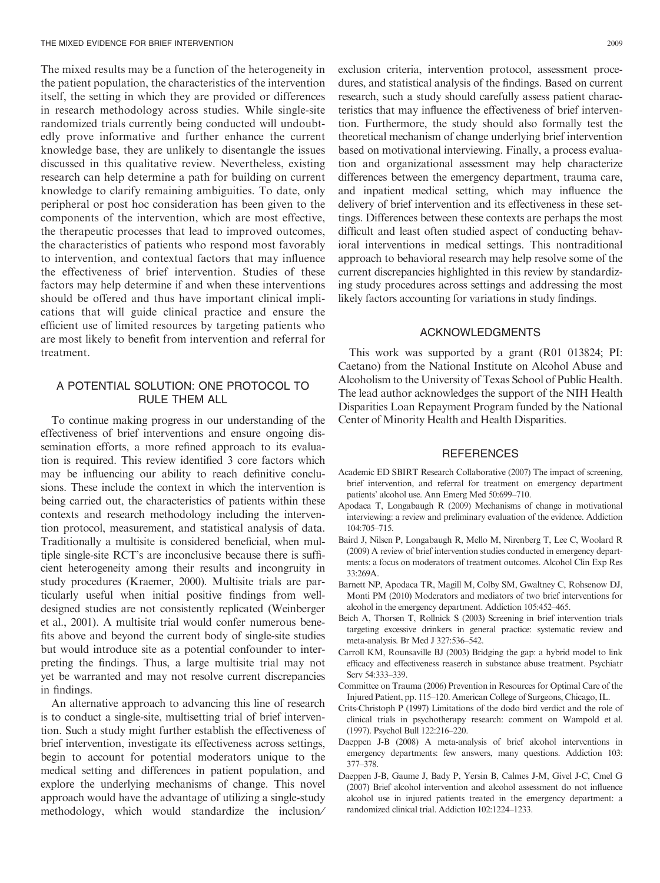The mixed results may be a function of the heterogeneity in the patient population, the characteristics of the intervention itself, the setting in which they are provided or differences in research methodology across studies. While single-site randomized trials currently being conducted will undoubtedly prove informative and further enhance the current knowledge base, they are unlikely to disentangle the issues discussed in this qualitative review. Nevertheless, existing research can help determine a path for building on current knowledge to clarify remaining ambiguities. To date, only peripheral or post hoc consideration has been given to the components of the intervention, which are most effective, the therapeutic processes that lead to improved outcomes, the characteristics of patients who respond most favorably to intervention, and contextual factors that may influence the effectiveness of brief intervention. Studies of these factors may help determine if and when these interventions should be offered and thus have important clinical implications that will guide clinical practice and ensure the efficient use of limited resources by targeting patients who are most likely to benefit from intervention and referral for treatment.

## A POTENTIAL SOLUTION: ONE PROTOCOL TO RULE THEM ALL

To continue making progress in our understanding of the effectiveness of brief interventions and ensure ongoing dissemination efforts, a more refined approach to its evaluation is required. This review identified 3 core factors which may be influencing our ability to reach definitive conclusions. These include the context in which the intervention is being carried out, the characteristics of patients within these contexts and research methodology including the intervention protocol, measurement, and statistical analysis of data. Traditionally a multisite is considered beneficial, when multiple single-site RCT's are inconclusive because there is sufficient heterogeneity among their results and incongruity in study procedures (Kraemer, 2000). Multisite trials are particularly useful when initial positive findings from welldesigned studies are not consistently replicated (Weinberger et al., 2001). A multisite trial would confer numerous benefits above and beyond the current body of single-site studies but would introduce site as a potential confounder to interpreting the findings. Thus, a large multisite trial may not yet be warranted and may not resolve current discrepancies in findings.

An alternative approach to advancing this line of research is to conduct a single-site, multisetting trial of brief intervention. Such a study might further establish the effectiveness of brief intervention, investigate its effectiveness across settings, begin to account for potential moderators unique to the medical setting and differences in patient population, and explore the underlying mechanisms of change. This novel approach would have the advantage of utilizing a single-study methodology, which would standardize the inclusion⁄

exclusion criteria, intervention protocol, assessment procedures, and statistical analysis of the findings. Based on current research, such a study should carefully assess patient characteristics that may influence the effectiveness of brief intervention. Furthermore, the study should also formally test the theoretical mechanism of change underlying brief intervention based on motivational interviewing. Finally, a process evaluation and organizational assessment may help characterize differences between the emergency department, trauma care, and inpatient medical setting, which may influence the delivery of brief intervention and its effectiveness in these settings. Differences between these contexts are perhaps the most difficult and least often studied aspect of conducting behavioral interventions in medical settings. This nontraditional approach to behavioral research may help resolve some of the current discrepancies highlighted in this review by standardizing study procedures across settings and addressing the most likely factors accounting for variations in study findings.

#### ACKNOWLEDGMENTS

This work was supported by a grant (R01 013824; PI: Caetano) from the National Institute on Alcohol Abuse and Alcoholism to the University of Texas School of Public Health. The lead author acknowledges the support of the NIH Health Disparities Loan Repayment Program funded by the National Center of Minority Health and Health Disparities.

#### **REFERENCES**

- Academic ED SBIRT Research Collaborative (2007) The impact of screening, brief intervention, and referral for treatment on emergency department patients' alcohol use. Ann Emerg Med 50:699–710.
- Apodaca T, Longabaugh R (2009) Mechanisms of change in motivational interviewing: a review and preliminary evaluation of the evidence. Addiction 104:705–715.
- Baird J, Nilsen P, Longabaugh R, Mello M, Nirenberg T, Lee C, Woolard R (2009) A review of brief intervention studies conducted in emergency departments: a focus on moderators of treatment outcomes. Alcohol Clin Exp Res 33:269A.
- Barnett NP, Apodaca TR, Magill M, Colby SM, Gwaltney C, Rohsenow DJ, Monti PM (2010) Moderators and mediators of two brief interventions for alcohol in the emergency department. Addiction 105:452–465.
- Beich A, Thorsen T, Rollnick S (2003) Screening in brief intervention trials targeting excessive drinkers in general practice: systematic review and meta-analysis. Br Med J 327:536–542.
- Carroll KM, Rounsaville BJ (2003) Bridging the gap: a hybrid model to link efficacy and effectiveness reaserch in substance abuse treatment. Psychiatr Serv 54:333–339.
- Committee on Trauma (2006) Prevention in Resources for Optimal Care of the Injured Patient, pp. 115–120. American College of Surgeons, Chicago, IL.
- Crits-Christoph P (1997) Limitations of the dodo bird verdict and the role of clinical trials in psychotherapy research: comment on Wampold et al. (1997). Psychol Bull 122:216–220.
- Daeppen J-B (2008) A meta-analysis of brief alcohol interventions in emergency departments: few answers, many questions. Addiction 103: 377–378.
- Daeppen J-B, Gaume J, Bady P, Yersin B, Calmes J-M, Givel J-C, Cmel G (2007) Brief alcohol intervention and alcohol assessment do not influence alcohol use in injured patients treated in the emergency department: a randomized clinical trial. Addiction 102:1224–1233.